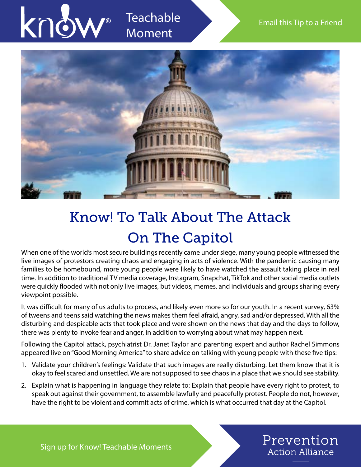

## Know! To Talk About The Attack On The Capitol

When one of the world's most secure buildings recently came under siege, many young people witnessed the live images of protestors creating chaos and engaging in acts of violence. With the pandemic causing many families to be homebound, more young people were likely to have watched the assault taking place in real time. In addition to traditional TV media coverage, Instagram, Snapchat, TikTok and other social media outlets were quickly flooded with not only live images, but videos, memes, and individuals and groups sharing every viewpoint possible.

It was difficult for many of us adults to process, and likely even more so for our youth. In a recent survey, 63% of tweens and teens said watching the news makes them feel afraid, angry, sad and/or depressed. With all the disturbing and despicable acts that took place and were shown on the news that day and the days to follow, there was plenty to invoke fear and anger, in addition to worrying about what may happen next.

Following the Capitol attack, psychiatrist Dr. Janet Taylor and parenting expert and author Rachel Simmons appeared live on "Good Morning America" to share advice on talking with young people with these five tips:

- 1. Validate your children's feelings: Validate that such images are really disturbing. Let them know that it is okay to feel scared and unsettled. We are not supposed to see chaos in a place that we should see stability.
- 2. Explain what is happening in language they relate to: Explain that people have every right to protest, to speak out against their government, to assemble lawfully and peacefully protest. People do not, however, have the right to be violent and commit acts of crime, which is what occurred that day at the Capitol.

Prevention

**Action Alliance** 

Sign up for Know! Teachable Moments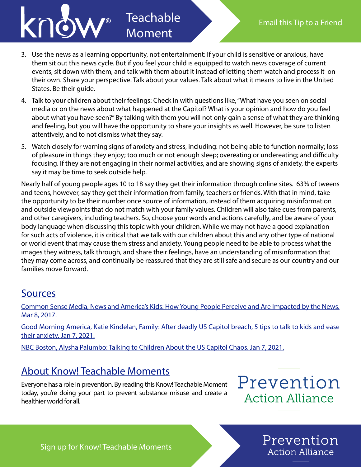

## 3. Use the news as a learning opportunity, not entertainment: If your child is sensitive or anxious, have them sit out this news cycle. But if you feel your child is equipped to watch news coverage of current events, sit down with them, and talk with them about it instead of letting them watch and process it on their own. Share your perspective. Talk about your values. Talk about what it means to live in the United States. Be their guide.

**Teachable** 

Moment

- 4. Talk to your children about their feelings: Check in with questions like, "What have you seen on social media or on the news about what happened at the Capitol? What is your opinion and how do you feel about what you have seen?" By talking with them you will not only gain a sense of what they are thinking and feeling, but you will have the opportunity to share your insights as well. However, be sure to listen attentively, and to not dismiss what they say.
- 5. Watch closely for warning signs of anxiety and stress, including: not being able to function normally; loss of pleasure in things they enjoy; too much or not enough sleep; overeating or undereating; and difficulty focusing. If they are not engaging in their normal activities, and are showing signs of anxiety, the experts say it may be time to seek outside help.

Nearly half of young people ages 10 to 18 say they get their information through online sites. 63% of tweens and teens, however, say they get their information from family, teachers or friends. With that in mind, take the opportunity to be their number once source of information, instead of them acquiring misinformation and outside viewpoints that do not match with your family values. Children will also take cues from parents, and other caregivers, including teachers. So, choose your words and actions carefully, and be aware of your body language when discussing this topic with your children. While we may not have a good explanation for such acts of violence, it is critical that we talk with our children about this and any other type of national or world event that may cause them stress and anxiety. Young people need to be able to process what the images they witness, talk through, and share their feelings, have an understanding of misinformation that they may come across, and continually be reassured that they are still safe and secure as our country and our families move forward.

## Sources

Common Sense Media, News and America's Kids: How Young People Perceive and Are Impacted by the News. Mar 8, 2017.

Good Morning America, Katie Kindelan, Family: After deadly US Capitol breach, 5 tips to talk to kids and ease their anxiety. Jan 7, 202[1.](https://www.nbcboston.com/news/local/talking-to-children-about-the-us-capitol-chaos/2275288/)

[NBC Boston, Alysha Palumbo: Talking to Children About the US Capitol Chaos. Jan 7, 2021.](https://www.nbcboston.com/news/local/talking-to-children-about-the-us-capitol-chaos/2275288/)

## About Know! Teachable Moments

Everyone has a role in prevention. By reading this Know! Teachable Moment today, you're doing your part to prevent substance misuse and create a healthier world for all.

Prevention **Action Alliance** 

Prevention

**Action Alliance** 

Sign up for Know! Teachable Moments